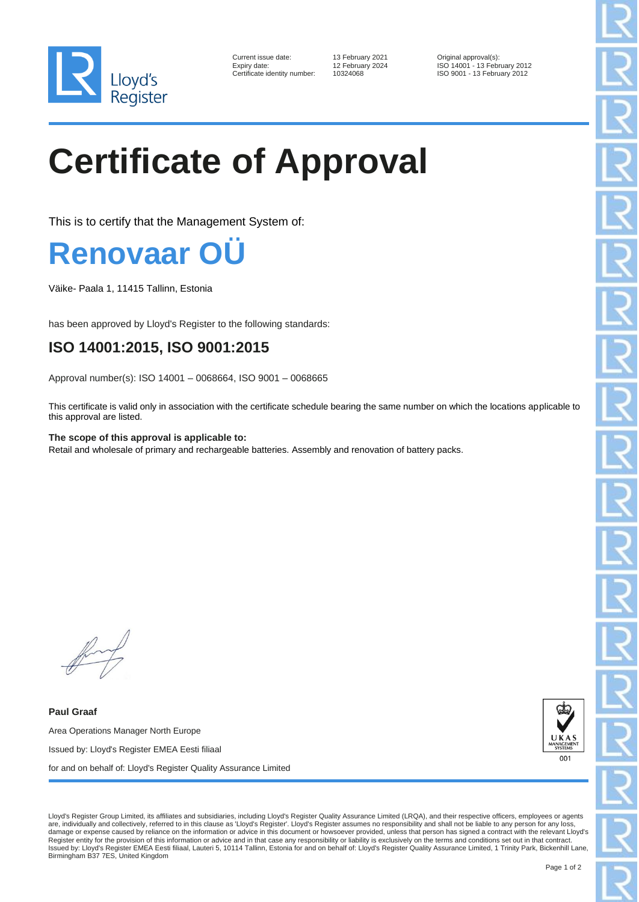

| Current issue date:        |
|----------------------------|
| Expiry date:               |
| Certificate identity numbe |

13 February 2021 **Current Contains Container September 2024** Original approval(s): Expiry date: 12 February 2024 ISO 14001 - 13 February 2012 er: 10324068 ISO 9001 - 13 February 2012

## **Certificate of Approval**

This is to certify that the Management System of:

## **Renovaar (**

Väike- Paala 1, 11415 Tallinn, Estonia

has been approved by Lloyd's Register to the following standards:

## **ISO 14001:2015, ISO 9001:2015**

Approval number(s): ISO 14001 – 0068664, ISO 9001 – 0068665

This certificate is valid only in association with the certificate schedule bearing the same number on which the locations applicable to this approval are listed.

**The scope of this approval is applicable to:** Retail and wholesale of primary and rechargeable batteries. Assembly and renovation of battery packs.

**Paul Graaf** Area Operations Manager North Europe Issued by: Lloyd's Register EMEA Eesti filiaal for and on behalf of: Lloyd's Register Quality Assurance Limited



Lloyd's Register Group Limited, its affiliates and subsidiaries, including Lloyd's Register Quality Assurance Limited (LRQA), and their respective officers, employees or agents are, individually and collectively, referred to in this clause as 'Lloyd's Register'. Lloyd's Register assumes no responsibility and shall not be liable to any person for any loss, damage or expense caused by reliance on the information or advice in this document or howsoever provided, unless that person has signed a contract with the relevant Lloyd's Register entity for the provision of this information or advice and in that case any responsibility or liability is exclusively on the terms and conditions set out in that contract.<br>Issued by: Lloyd's Register EMEA Eesti f Birmingham B37 7ES, United Kingdom